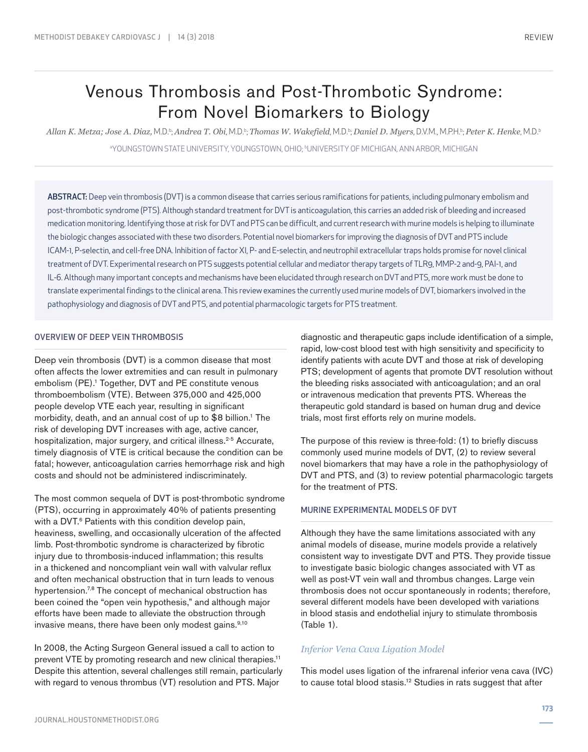# Venous Thrombosis and Post-Thrombotic Syndrome: From Novel Biomarkers to Biology

*Allan K. Metza; Jose A. Diaz,* M.D.b ; *Andrea T. Obi*, M.D.b ; *Thomas W. Wakefield*, M.D.b ; *Daniel D. Myers*, D.V.M., M.P.H.b ; *Peter K. Henke*, M.D.b a YOUNGSTOWN STATE UNIVERSITY, YOUNGSTOWN, OHIO; b UNIVERSITY OF MICHIGAN, ANN ARBOR, MICHIGAN

ABSTRACT: Deep vein thrombosis (DVT) is a common disease that carries serious ramifications for patients, including pulmonary embolism and post-thrombotic syndrome (PTS). Although standard treatment for DVT is anticoagulation, this carries an added risk of bleeding and increased medication monitoring. Identifying those at risk for DVT and PTS can be difficult, and current research with murine models is helping to illuminate the biologic changes associated with these two disorders. Potential novel biomarkers for improving the diagnosis of DVT and PTS include ICAM-1, P-selectin, and cell-free DNA. Inhibition of factor XI, P- and E-selectin, and neutrophil extracellular traps holds promise for novel clinical treatment of DVT. Experimental research on PTS suggests potential cellular and mediator therapy targets of TLR9, MMP-2 and-9, PAI-1, and IL-6. Although many important concepts and mechanisms have been elucidated through research on DVT and PTS, more work must be done to translate experimental findings to the clinical arena. This review examines the currently used murine models of DVT, biomarkers involved in the pathophysiology and diagnosis of DVT and PTS, and potential pharmacologic targets for PTS treatment.

#### OVERVIEW OF DEEP VEIN THROMBOSIS

Deep vein thrombosis (DVT) is a common disease that most often affects the lower extremities and can result in pulmonary embolism (PE).<sup>1</sup> Together, DVT and PE constitute venous thromboembolism (VTE). Between 375,000 and 425,000 people develop VTE each year, resulting in significant morbidity, death, and an annual cost of up to \$8 billion.<sup>1</sup> The risk of developing DVT increases with age, active cancer, hospitalization, major surgery, and critical illness.<sup>2-5</sup> Accurate, timely diagnosis of VTE is critical because the condition can be fatal; however, anticoagulation carries hemorrhage risk and high costs and should not be administered indiscriminately.

The most common sequela of DVT is post-thrombotic syndrome (PTS), occurring in approximately 40% of patients presenting with a DVT.<sup>6</sup> Patients with this condition develop pain, heaviness, swelling, and occasionally ulceration of the affected limb. Post-thrombotic syndrome is characterized by fibrotic injury due to thrombosis-induced inflammation; this results in a thickened and noncompliant vein wall with valvular reflux and often mechanical obstruction that in turn leads to venous hypertension.<sup>7,8</sup> The concept of mechanical obstruction has been coined the "open vein hypothesis," and although major efforts have been made to alleviate the obstruction through invasive means, there have been only modest gains.<sup>9,10</sup>

In 2008, the Acting Surgeon General issued a call to action to prevent VTE by promoting research and new clinical therapies.<sup>11</sup> Despite this attention, several challenges still remain, particularly with regard to venous thrombus (VT) resolution and PTS. Major

diagnostic and therapeutic gaps include identification of a simple, rapid, low-cost blood test with high sensitivity and specificity to identify patients with acute DVT and those at risk of developing PTS; development of agents that promote DVT resolution without the bleeding risks associated with anticoagulation; and an oral or intravenous medication that prevents PTS. Whereas the therapeutic gold standard is based on human drug and device trials, most first efforts rely on murine models.

The purpose of this review is three-fold: (1) to briefly discuss commonly used murine models of DVT, (2) to review several novel biomarkers that may have a role in the pathophysiology of DVT and PTS, and (3) to review potential pharmacologic targets for the treatment of PTS.

## MURINE EXPERIMENTAL MODELS OF DVT

Although they have the same limitations associated with any animal models of disease, murine models provide a relatively consistent way to investigate DVT and PTS. They provide tissue to investigate basic biologic changes associated with VT as well as post-VT vein wall and thrombus changes. Large vein thrombosis does not occur spontaneously in rodents; therefore, several different models have been developed with variations in blood stasis and endothelial injury to stimulate thrombosis (Table 1).

#### *Inferior Vena Cava Ligation Model*

This model uses ligation of the infrarenal inferior vena cava (IVC) to cause total blood stasis.12 Studies in rats suggest that after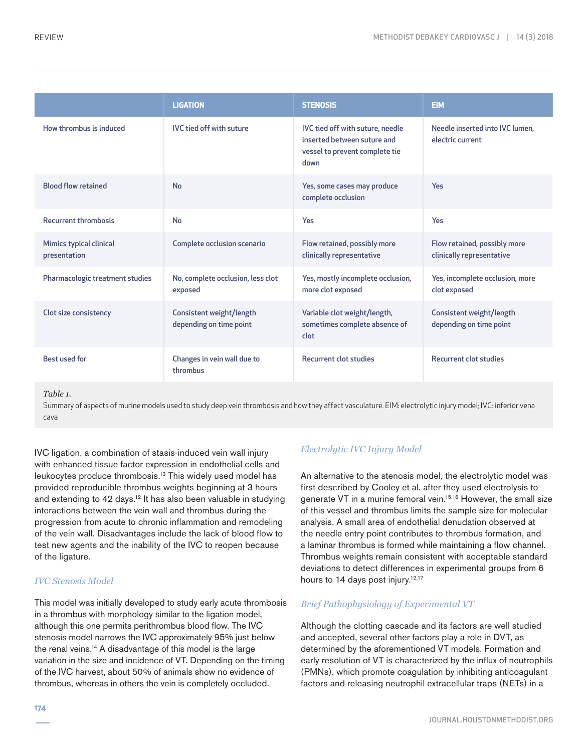|                                         | <b>LIGATION</b>                                     | <b>STENOSIS</b>                                                                                           | <b>EIM</b>                                                |
|-----------------------------------------|-----------------------------------------------------|-----------------------------------------------------------------------------------------------------------|-----------------------------------------------------------|
| How thrombus is induced                 | <b>IVC</b> tied off with suture                     | IVC tied off with suture, needle<br>inserted between suture and<br>vessel to prevent complete tie<br>down | Needle inserted into IVC lumen,<br>electric current       |
| <b>Blood flow retained</b>              | <b>No</b>                                           | Yes, some cases may produce<br>complete occlusion                                                         | <b>Yes</b>                                                |
| <b>Recurrent thrombosis</b>             | No                                                  | Yes                                                                                                       | Yes                                                       |
| Mimics typical clinical<br>presentation | Complete occlusion scenario                         | Flow retained, possibly more<br>clinically representative                                                 | Flow retained, possibly more<br>clinically representative |
| Pharmacologic treatment studies         | No, complete occlusion, less clot<br>exposed        | Yes, mostly incomplete occlusion,<br>more clot exposed                                                    | Yes, incomplete occlusion, more<br>clot exposed           |
| Clot size consistency                   | Consistent weight/length<br>depending on time point | Variable clot weight/length,<br>sometimes complete absence of<br>clot                                     | Consistent weight/length<br>depending on time point       |
| Best used for                           | Changes in vein wall due to<br>thrombus             | <b>Recurrent clot studies</b>                                                                             | <b>Recurrent clot studies</b>                             |

*Table 1.* 

Summary of aspects of murine models used to study deep vein thrombosis and how they affect vasculature. EIM: electrolytic injury model; IVC: inferior vena cava

IVC ligation, a combination of stasis-induced vein wall injury with enhanced tissue factor expression in endothelial cells and leukocytes produce thrombosis.13 This widely used model has provided reproducible thrombus weights beginning at 3 hours and extending to 42 days.<sup>12</sup> It has also been valuable in studying interactions between the vein wall and thrombus during the progression from acute to chronic inflammation and remodeling of the vein wall. Disadvantages include the lack of blood flow to test new agents and the inability of the IVC to reopen because of the ligature.

## *IVC Stenosis Model*

This model was initially developed to study early acute thrombosis in a thrombus with morphology similar to the ligation model, although this one permits perithrombus blood flow. The IVC stenosis model narrows the IVC approximately 95% just below the renal veins.14 A disadvantage of this model is the large variation in the size and incidence of VT. Depending on the timing of the IVC harvest, about 50% of animals show no evidence of thrombus, whereas in others the vein is completely occluded.

# *Electrolytic IVC Injury Model*

An alternative to the stenosis model, the electrolytic model was first described by Cooley et al. after they used electrolysis to generate VT in a murine femoral vein.15,16 However, the small size of this vessel and thrombus limits the sample size for molecular analysis. A small area of endothelial denudation observed at the needle entry point contributes to thrombus formation, and a laminar thrombus is formed while maintaining a flow channel. Thrombus weights remain consistent with acceptable standard deviations to detect differences in experimental groups from 6 hours to 14 days post injury.<sup>12,17</sup>

## *Brief Pathophysiology of Experimental VT*

Although the clotting cascade and its factors are well studied and accepted, several other factors play a role in DVT, as determined by the aforementioned VT models. Formation and early resolution of VT is characterized by the influx of neutrophils (PMNs), which promote coagulation by inhibiting anticoagulant factors and releasing neutrophil extracellular traps (NETs) in a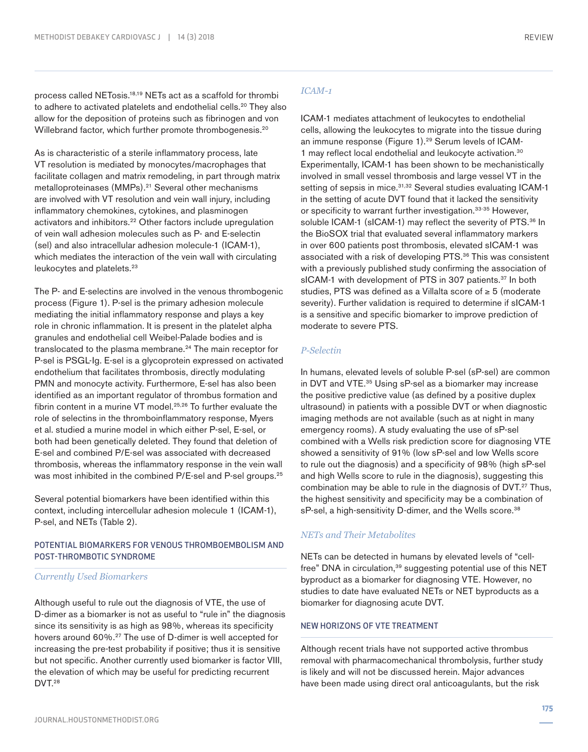process called NETosis.18,19 NETs act as a scaffold for thrombi to adhere to activated platelets and endothelial cells.<sup>20</sup> They also allow for the deposition of proteins such as fibrinogen and von Willebrand factor, which further promote thrombogenesis.<sup>20</sup>

As is characteristic of a sterile inflammatory process, late VT resolution is mediated by monocytes/macrophages that facilitate collagen and matrix remodeling, in part through matrix metalloproteinases (MMPs).<sup>21</sup> Several other mechanisms are involved with VT resolution and vein wall injury, including inflammatory chemokines, cytokines, and plasminogen activators and inhibitors.<sup>22</sup> Other factors include upregulation of vein wall adhesion molecules such as P- and E-selectin (sel) and also intracellular adhesion molecule-1 (ICAM-1), which mediates the interaction of the vein wall with circulating leukocytes and platelets.<sup>23</sup>

The P- and E-selectins are involved in the venous thrombogenic process (Figure 1). P-sel is the primary adhesion molecule mediating the initial inflammatory response and plays a key role in chronic inflammation. It is present in the platelet alpha granules and endothelial cell Weibel-Palade bodies and is translocated to the plasma membrane.<sup>24</sup> The main receptor for P-sel is PSGL-Ig. E-sel is a glycoprotein expressed on activated endothelium that facilitates thrombosis, directly modulating PMN and monocyte activity. Furthermore, E-sel has also been identified as an important regulator of thrombus formation and fibrin content in a murine VT model.<sup>25,26</sup> To further evaluate the role of selectins in the thromboinflammatory response, Myers et al. studied a murine model in which either P-sel, E-sel, or both had been genetically deleted. They found that deletion of E-sel and combined P/E-sel was associated with decreased thrombosis, whereas the inflammatory response in the vein wall was most inhibited in the combined P/E-sel and P-sel groups.<sup>25</sup>

Several potential biomarkers have been identified within this context, including intercellular adhesion molecule 1 (ICAM-1), P-sel, and NETs (Table 2).

## POTENTIAL BIOMARKERS FOR VENOUS THROMBOEMBOLISM AND POST-THROMBOTIC SYNDROME

#### *Currently Used Biomarkers*

Although useful to rule out the diagnosis of VTE, the use of D-dimer as a biomarker is not as useful to "rule in" the diagnosis since its sensitivity is as high as 98%, whereas its specificity hovers around 60%.<sup>27</sup> The use of D-dimer is well accepted for increasing the pre-test probability if positive; thus it is sensitive but not specific. Another currently used biomarker is factor VIII, the elevation of which may be useful for predicting recurrent DVT.<sup>28</sup>

## *ICAM-1*

ICAM-1 mediates attachment of leukocytes to endothelial cells, allowing the leukocytes to migrate into the tissue during an immune response (Figure 1).<sup>29</sup> Serum levels of ICAM-1 may reflect local endothelial and leukocyte activation.30 Experimentally, ICAM-1 has been shown to be mechanistically involved in small vessel thrombosis and large vessel VT in the setting of sepsis in mice.<sup>31,32</sup> Several studies evaluating ICAM-1 in the setting of acute DVT found that it lacked the sensitivity or specificity to warrant further investigation.<sup>33-35</sup> However, soluble ICAM-1 (sICAM-1) may reflect the severity of PTS.<sup>36</sup> In the BioSOX trial that evaluated several inflammatory markers in over 600 patients post thrombosis, elevated sICAM-1 was associated with a risk of developing PTS.<sup>36</sup> This was consistent with a previously published study confirming the association of sICAM-1 with development of PTS in 307 patients.<sup>37</sup> In both studies, PTS was defined as a Villalta score of ≥ 5 (moderate severity). Further validation is required to determine if sICAM-1 is a sensitive and specific biomarker to improve prediction of moderate to severe PTS.

#### *P-Selectin*

In humans, elevated levels of soluble P-sel (sP-sel) are common in DVT and VTE.<sup>35</sup> Using sP-sel as a biomarker may increase the positive predictive value (as defined by a positive duplex ultrasound) in patients with a possible DVT or when diagnostic imaging methods are not available (such as at night in many emergency rooms). A study evaluating the use of sP-sel combined with a Wells risk prediction score for diagnosing VTE showed a sensitivity of 91% (low sP-sel and low Wells score to rule out the diagnosis) and a specificity of 98% (high sP-sel and high Wells score to rule in the diagnosis), suggesting this combination may be able to rule in the diagnosis of DVT.<sup>27</sup> Thus, the highest sensitivity and specificity may be a combination of sP-sel, a high-sensitivity D-dimer, and the Wells score.<sup>38</sup>

## *NETs and Their Metabolites*

NETs can be detected in humans by elevated levels of "cellfree" DNA in circulation,<sup>39</sup> suggesting potential use of this NET byproduct as a biomarker for diagnosing VTE. However, no studies to date have evaluated NETs or NET byproducts as a biomarker for diagnosing acute DVT.

#### NEW HORIZONS OF VTE TREATMENT

Although recent trials have not supported active thrombus removal with pharmacomechanical thrombolysis, further study is likely and will not be discussed herein. Major advances have been made using direct oral anticoagulants, but the risk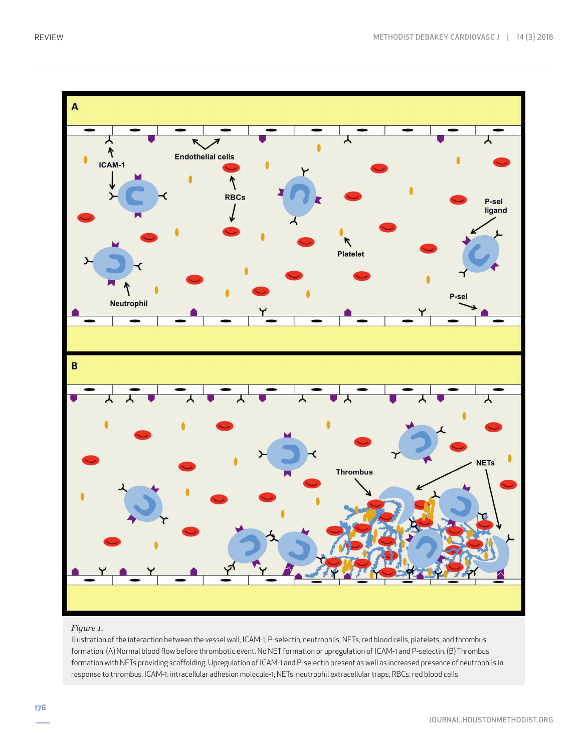

#### *Figure 1.*

Illustration of the interaction between the vessel wall, ICAM-1, P-selectin, neutrophils, NETs, red blood cells, platelets, and thrombus formation. (A) Normal blood flow before thrombotic event. No NET formation or upregulation of ICAM-1 and P-selectin. (B) Thrombus formation with NETs providing scaffolding. Upregulation of ICAM-1 and P-selectin present as well as increased presence of neutrophils in response to thrombus. ICAM-1: intracellular adhesion molecule-1; NETs: neutrophil extracellular traps; RBCs: red blood cells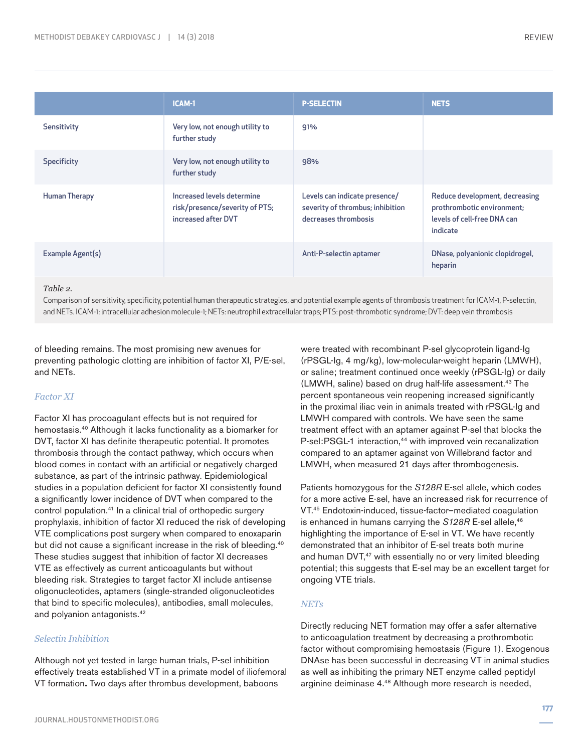|                      | <b>ICAM-1</b>                                                                       | <b>P-SELECTIN</b>                                                                         | <b>NETS</b>                                                                                             |
|----------------------|-------------------------------------------------------------------------------------|-------------------------------------------------------------------------------------------|---------------------------------------------------------------------------------------------------------|
| Sensitivity          | Very low, not enough utility to<br>further study                                    | 91%                                                                                       |                                                                                                         |
| <b>Specificity</b>   | Very low, not enough utility to<br>further study                                    | 98%                                                                                       |                                                                                                         |
| <b>Human Therapy</b> | Increased levels determine<br>risk/presence/severity of PTS;<br>increased after DVT | Levels can indicate presence/<br>severity of thrombus; inhibition<br>decreases thrombosis | Reduce development, decreasing<br>prothrombotic environment;<br>levels of cell-free DNA can<br>indicate |
| Example Agent(s)     |                                                                                     | Anti-P-selectin aptamer                                                                   | DNase, polyanionic clopidrogel,<br>heparin                                                              |
| Table 2              |                                                                                     |                                                                                           |                                                                                                         |

*Table 2.* 

Comparison of sensitivity, specificity, potential human therapeutic strategies, and potential example agents of thrombosis treatment for ICAM-1, P-selectin, and NETs. ICAM-1: intracellular adhesion molecule-1; NETs: neutrophil extracellular traps; PTS: post-thrombotic syndrome; DVT: deep vein thrombosis

of bleeding remains. The most promising new avenues for preventing pathologic clotting are inhibition of factor XI, P/E-sel, and NETs.

## *Factor XI*

Factor XI has procoagulant effects but is not required for hemostasis.40 Although it lacks functionality as a biomarker for DVT, factor XI has definite therapeutic potential. It promotes thrombosis through the contact pathway, which occurs when blood comes in contact with an artificial or negatively charged substance, as part of the intrinsic pathway. Epidemiological studies in a population deficient for factor XI consistently found a significantly lower incidence of DVT when compared to the control population.<sup>41</sup> In a clinical trial of orthopedic surgery prophylaxis, inhibition of factor XI reduced the risk of developing VTE complications post surgery when compared to enoxaparin but did not cause a significant increase in the risk of bleeding.<sup>40</sup> These studies suggest that inhibition of factor XI decreases VTE as effectively as current anticoagulants but without bleeding risk. Strategies to target factor XI include antisense oligonucleotides, aptamers (single-stranded oligonucleotides that bind to specific molecules), antibodies, small molecules, and polyanion antagonists.42

#### *Selectin Inhibition*

Although not yet tested in large human trials, P-sel inhibition effectively treats established VT in a primate model of iliofemoral VT formation**.** Two days after thrombus development, baboons

were treated with recombinant P-sel glycoprotein ligand-Ig (rPSGL-Ig, 4 mg/kg), low-molecular-weight heparin (LMWH), or saline; treatment continued once weekly (rPSGL-Ig) or daily (LMWH, saline) based on drug half-life assessment.<sup>43</sup> The percent spontaneous vein reopening increased significantly in the proximal iliac vein in animals treated with rPSGL-Ig and LMWH compared with controls. We have seen the same treatment effect with an aptamer against P-sel that blocks the P-sel:PSGL-1 interaction,<sup>44</sup> with improved vein recanalization compared to an aptamer against von Willebrand factor and LMWH, when measured 21 days after thrombogenesis.

Patients homozygous for the *S128R* E-sel allele, which codes for a more active E-sel, have an increased risk for recurrence of VT.45 Endotoxin-induced, tissue-factor–mediated coagulation is enhanced in humans carrying the *S128R* E-sel allele,<sup>46</sup> highlighting the importance of E-sel in VT. We have recently demonstrated that an inhibitor of E-sel treats both murine and human DVT,<sup>47</sup> with essentially no or very limited bleeding potential; this suggests that E-sel may be an excellent target for ongoing VTE trials.

#### *NETs*

Directly reducing NET formation may offer a safer alternative to anticoagulation treatment by decreasing a prothrombotic factor without compromising hemostasis (Figure 1). Exogenous DNAse has been successful in decreasing VT in animal studies as well as inhibiting the primary NET enzyme called peptidyl arginine deiminase 4.48 Although more research is needed,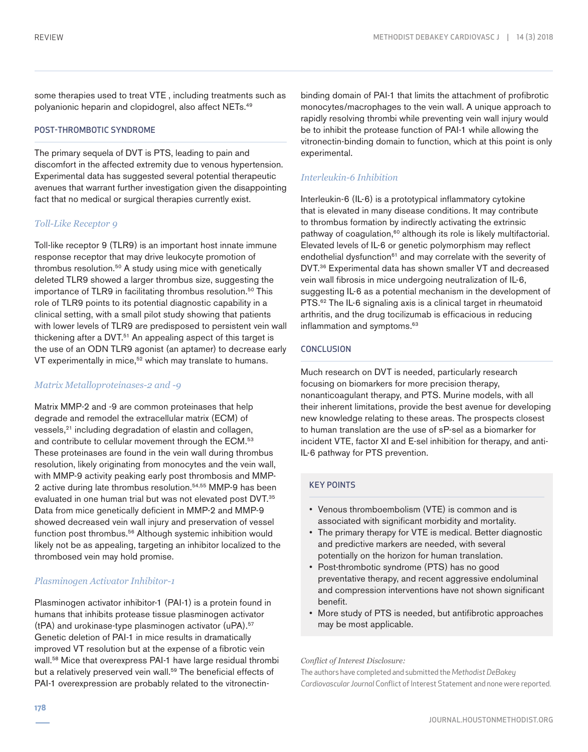some therapies used to treat VTE , including treatments such as polyanionic heparin and clopidogrel, also affect NETs.49

#### POST-THROMBOTIC SYNDROME

The primary sequela of DVT is PTS, leading to pain and discomfort in the affected extremity due to venous hypertension. Experimental data has suggested several potential therapeutic avenues that warrant further investigation given the disappointing fact that no medical or surgical therapies currently exist.

## *Toll-Like Receptor 9*

Toll-like receptor 9 (TLR9) is an important host innate immune response receptor that may drive leukocyte promotion of thrombus resolution.<sup>50</sup> A study using mice with genetically deleted TLR9 showed a larger thrombus size, suggesting the importance of TLR9 in facilitating thrombus resolution.<sup>50</sup> This role of TLR9 points to its potential diagnostic capability in a clinical setting, with a small pilot study showing that patients with lower levels of TLR9 are predisposed to persistent vein wall thickening after a DVT.<sup>51</sup> An appealing aspect of this target is the use of an ODN TLR9 agonist (an aptamer) to decrease early VT experimentally in mice,<sup>52</sup> which may translate to humans.

## *Matrix Metalloproteinases-2 and -9*

Matrix MMP-2 and -9 are common proteinases that help degrade and remodel the extracellular matrix (ECM) of vessels,<sup>21</sup> including degradation of elastin and collagen, and contribute to cellular movement through the ECM.<sup>53</sup> These proteinases are found in the vein wall during thrombus resolution, likely originating from monocytes and the vein wall, with MMP-9 activity peaking early post thrombosis and MMP-2 active during late thrombus resolution.54,55 MMP-9 has been evaluated in one human trial but was not elevated post DVT.<sup>35</sup> Data from mice genetically deficient in MMP-2 and MMP-9 showed decreased vein wall injury and preservation of vessel function post thrombus.<sup>56</sup> Although systemic inhibition would likely not be as appealing, targeting an inhibitor localized to the thrombosed vein may hold promise.

# *Plasminogen Activator Inhibitor-1*

Plasminogen activator inhibitor-1 (PAI-1) is a protein found in humans that inhibits protease tissue plasminogen activator (tPA) and urokinase-type plasminogen activator (uPA).57 Genetic deletion of PAI-1 in mice results in dramatically improved VT resolution but at the expense of a fibrotic vein wall.58 Mice that overexpress PAI-1 have large residual thrombi but a relatively preserved vein wall.<sup>59</sup> The beneficial effects of PAI-1 overexpression are probably related to the vitronectinbinding domain of PAI-1 that limits the attachment of profibrotic monocytes/macrophages to the vein wall. A unique approach to rapidly resolving thrombi while preventing vein wall injury would be to inhibit the protease function of PAI-1 while allowing the vitronectin-binding domain to function, which at this point is only experimental.

# *Interleukin-6 Inhibition*

Interleukin-6 (IL-6) is a prototypical inflammatory cytokine that is elevated in many disease conditions. It may contribute to thrombus formation by indirectly activating the extrinsic pathway of coagulation,<sup>60</sup> although its role is likely multifactorial. Elevated levels of IL-6 or genetic polymorphism may reflect endothelial dysfunction<sup>61</sup> and may correlate with the severity of DVT.36 Experimental data has shown smaller VT and decreased vein wall fibrosis in mice undergoing neutralization of IL-6, suggesting IL-6 as a potential mechanism in the development of PTS.<sup>62</sup> The IL-6 signaling axis is a clinical target in rheumatoid arthritis, and the drug tocilizumab is efficacious in reducing inflammation and symptoms.<sup>63</sup>

## **CONCLUSION**

Much research on DVT is needed, particularly research focusing on biomarkers for more precision therapy, nonanticoagulant therapy, and PTS. Murine models, with all their inherent limitations, provide the best avenue for developing new knowledge relating to these areas. The prospects closest to human translation are the use of sP-sel as a biomarker for incident VTE, factor XI and E-sel inhibition for therapy, and anti-IL-6 pathway for PTS prevention.

## KEY POINTS

- Venous thromboembolism (VTE) is common and is associated with significant morbidity and mortality.
- The primary therapy for VTE is medical. Better diagnostic and predictive markers are needed, with several potentially on the horizon for human translation.
- Post-thrombotic syndrome (PTS) has no good preventative therapy, and recent aggressive endoluminal and compression interventions have not shown significant benefit.
- More study of PTS is needed, but antifibrotic approaches may be most applicable.

#### *Conflict of Interest Disclosure:*

The authors have completed and submitted the *Methodist DeBakey Cardiovascular Journal* Conflict of Interest Statement and none were reported.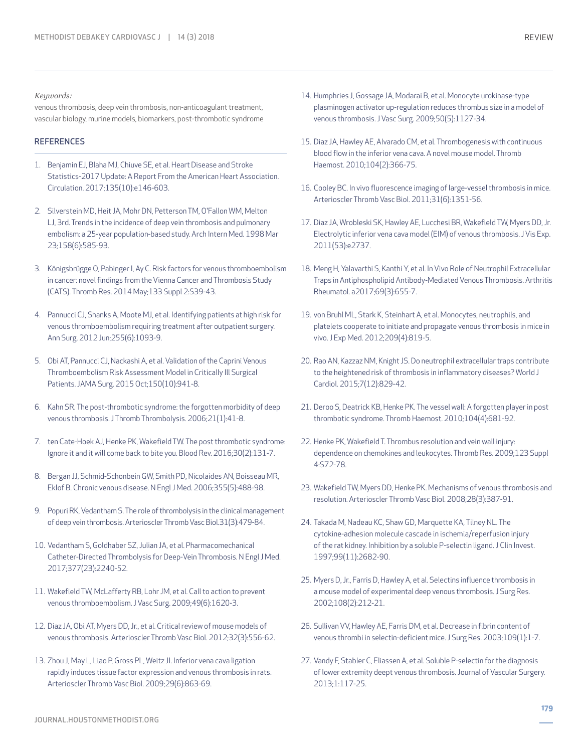#### *Keywords:*

venous thrombosis, deep vein thrombosis, non-anticoagulant treatment, vascular biology, murine models, biomarkers, post-thrombotic syndrome

#### **REFERENCES**

- 1. Benjamin EJ, Blaha MJ, Chiuve SE, et al. Heart Disease and Stroke Statistics-2017 Update: A Report From the American Heart Association. Circulation. 2017;135(10):e146-603.
- 2. Silverstein MD, Heit JA, Mohr DN, Petterson TM, O'Fallon WM, Melton LJ, 3rd. Trends in the incidence of deep vein thrombosis and pulmonary embolism: a 25-year population-based study. Arch Intern Med. 1998 Mar 23;158(6):585-93.
- 3. Königsbrügge O, Pabinger I, Ay C. Risk factors for venous thromboembolism in cancer: novel findings from the Vienna Cancer and Thrombosis Study (CATS). Thromb Res. 2014 May;133 Suppl 2:S39-43.
- 4. Pannucci CJ, Shanks A, Moote MJ, et al. Identifying patients at high risk for venous thromboembolism requiring treatment after outpatient surgery. Ann Surg. 2012 Jun;255(6):1093-9.
- 5. Obi AT, Pannucci CJ, Nackashi A, et al. Validation of the Caprini Venous Thromboembolism Risk Assessment Model in Critically Ill Surgical Patients. JAMA Surg. 2015 Oct;150(10):941-8.
- 6. Kahn SR. The post-thrombotic syndrome: the forgotten morbidity of deep venous thrombosis. J Thromb Thrombolysis. 2006;21(1):41-8.
- 7. ten Cate-Hoek AJ, Henke PK, Wakefield TW. The post thrombotic syndrome: Ignore it and it will come back to bite you. Blood Rev. 2016;30(2):131-7.
- 8. Bergan JJ, Schmid-Schonbein GW, Smith PD, Nicolaides AN, Boisseau MR, Eklof B. Chronic venous disease. N Engl J Med. 2006;355(5):488-98.
- 9. Popuri RK, Vedantham S. The role of thrombolysis in the clinical management of deep vein thrombosis. Arterioscler Thromb Vasc Biol.31(3):479-84.
- 10. Vedantham S, Goldhaber SZ, Julian JA, et al. Pharmacomechanical Catheter-Directed Thrombolysis for Deep-Vein Thrombosis. N Engl J Med. 2017;377(23):2240-52.
- 11. Wakefield TW, McLafferty RB, Lohr JM, et al. Call to action to prevent venous thromboembolism. J Vasc Surg. 2009;49(6):1620-3.
- 12. Diaz JA, Obi AT, Myers DD, Jr., et al. Critical review of mouse models of venous thrombosis. Arterioscler Thromb Vasc Biol. 2012;32(3):556-62.
- 13. Zhou J, May L, Liao P, Gross PL, Weitz JI. Inferior vena cava ligation rapidly induces tissue factor expression and venous thrombosis in rats. Arterioscler Thromb Vasc Biol. 2009;29(6):863-69.
- 14. Humphries J, Gossage JA, Modarai B, et al. Monocyte urokinase-type plasminogen activator up-regulation reduces thrombus size in a model of venous thrombosis. J Vasc Surg. 2009;50(5):1127-34.
- 15. Diaz JA, Hawley AE, Alvarado CM, et al. Thrombogenesis with continuous blood flow in the inferior vena cava. A novel mouse model. Thromb Haemost. 2010;104(2):366-75.
- 16. Cooley BC. In vivo fluorescence imaging of large-vessel thrombosis in mice. Arterioscler Thromb Vasc Biol. 2011;31(6):1351-56.
- 17. Diaz JA, Wrobleski SK, Hawley AE, Lucchesi BR, Wakefield TW, Myers DD, Jr. Electrolytic inferior vena cava model (EIM) of venous thrombosis. J Vis Exp. 2011(53):e2737.
- 18. Meng H, Yalavarthi S, Kanthi Y, et al. In Vivo Role of Neutrophil Extracellular Traps in Antiphospholipid Antibody-Mediated Venous Thrombosis. Arthritis Rheumatol. a2017;69(3):655-7.
- 19. von Bruhl ML, Stark K, Steinhart A, et al. Monocytes, neutrophils, and platelets cooperate to initiate and propagate venous thrombosis in mice in vivo. J Exp Med. 2012;209(4):819-5.
- 20. Rao AN, Kazzaz NM, Knight JS. Do neutrophil extracellular traps contribute to the heightened risk of thrombosis in inflammatory diseases? World J Cardiol. 2015;7(12):829-42.
- 21. Deroo S, Deatrick KB, Henke PK. The vessel wall: A forgotten player in post thrombotic syndrome. Thromb Haemost. 2010;104(4):681-92.
- 22. Henke PK, Wakefield T. Thrombus resolution and vein wall injury: dependence on chemokines and leukocytes. Thromb Res. 2009;123 Suppl 4:S72-78.
- 23. Wakefield TW, Myers DD, Henke PK. Mechanisms of venous thrombosis and resolution. Arterioscler Thromb Vasc Biol. 2008;28(3):387-91.
- 24. Takada M, Nadeau KC, Shaw GD, Marquette KA, Tilney NL. The cytokine-adhesion molecule cascade in ischemia/reperfusion injury of the rat kidney. Inhibition by a soluble P-selectin ligand. J Clin Invest. 1997;99(11):2682-90.
- 25. Myers D, Jr., Farris D, Hawley A, et al. Selectins influence thrombosis in a mouse model of experimental deep venous thrombosis. J Surg Res. 2002;108(2):212-21.
- 26. Sullivan VV, Hawley AE, Farris DM, et al. Decrease in fibrin content of venous thrombi in selectin-deficient mice. J Surg Res. 2003;109(1):1-7.
- 27. Vandy F, Stabler C, Eliassen A, et al. Soluble P-selectin for the diagnosis of lower extremity deept venous thrombosis. Journal of Vascular Surgery. 2013;1:117-25.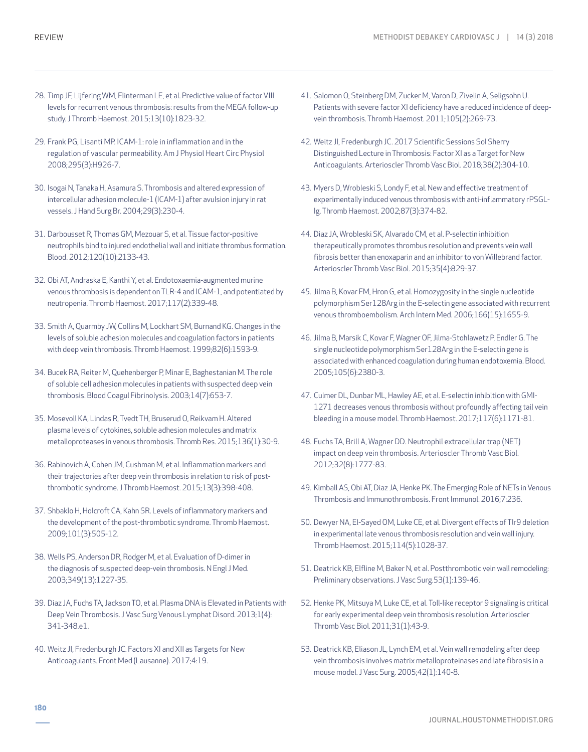- 28. Timp JF, Lijfering WM, Flinterman LE, et al. Predictive value of factor VIII levels for recurrent venous thrombosis: results from the MEGA follow-up study. J Thromb Haemost. 2015;13(10):1823-32.
- 29. Frank PG, Lisanti MP. ICAM-1: role in inflammation and in the regulation of vascular permeability. Am J Physiol Heart Circ Physiol 2008;295(3):H926-7.
- 30. Isogai N, Tanaka H, Asamura S. Thrombosis and altered expression of intercellular adhesion molecule-1 (ICAM-1) after avulsion injury in rat vessels. J Hand Surg Br. 2004;29(3):230-4.
- 31. Darbousset R, Thomas GM, Mezouar S, et al. Tissue factor-positive neutrophils bind to injured endothelial wall and initiate thrombus formation. Blood. 2012;120(10):2133-43.
- 32. Obi AT, Andraska E, Kanthi Y, et al. Endotoxaemia-augmented murine venous thrombosis is dependent on TLR-4 and ICAM-1, and potentiated by neutropenia. Thromb Haemost. 2017;117(2):339-48.
- 33. Smith A, Quarmby JW, Collins M, Lockhart SM, Burnand KG. Changes in the levels of soluble adhesion molecules and coagulation factors in patients with deep vein thrombosis. Thromb Haemost. 1999;82(6):1593-9.
- 34. Bucek RA, Reiter M, Quehenberger P, Minar E, Baghestanian M. The role of soluble cell adhesion molecules in patients with suspected deep vein thrombosis. Blood Coagul Fibrinolysis. 2003;14(7):653-7.
- 35. Mosevoll KA, Lindas R, Tvedt TH, Bruserud O, Reikvam H. Altered plasma levels of cytokines, soluble adhesion molecules and matrix metalloproteases in venous thrombosis. Thromb Res. 2015;136(1):30-9.
- 36. Rabinovich A, Cohen JM, Cushman M, et al. Inflammation markers and their trajectories after deep vein thrombosis in relation to risk of postthrombotic syndrome. J Thromb Haemost. 2015;13(3):398-408.
- 37. Shbaklo H, Holcroft CA, Kahn SR. Levels of inflammatory markers and the development of the post-thrombotic syndrome. Thromb Haemost. 2009;101(3):505-12.
- 38. Wells PS, Anderson DR, Rodger M, et al. Evaluation of D-dimer in the diagnosis of suspected deep-vein thrombosis. N Engl J Med. 2003;349(13):1227-35.
- 39. Diaz JA, Fuchs TA, Jackson TO, et al. Plasma DNA is Elevated in Patients with Deep Vein Thrombosis. J Vasc Surg Venous Lymphat Disord. 2013;1(4): 341-348.e1.
- 40. Weitz JI, Fredenburgh JC. Factors XI and XII as Targets for New Anticoagulants. Front Med (Lausanne). 2017;4:19.
- 41. Salomon O, Steinberg DM, Zucker M, Varon D, Zivelin A, Seligsohn U. Patients with severe factor XI deficiency have a reduced incidence of deepvein thrombosis. Thromb Haemost. 2011;105(2):269-73.
- 42. Weitz JI, Fredenburgh JC. 2017 Scientific Sessions Sol Sherry Distinguished Lecture in Thrombosis: Factor XI as a Target for New Anticoagulants. Arterioscler Thromb Vasc Biol. 2018;38(2):304-10.
- 43. Myers D, Wrobleski S, Londy F, et al. New and effective treatment of experimentally induced venous thrombosis with anti-inflammatory rPSGL-Ig. Thromb Haemost. 2002;87(3):374-82.
- 44. Diaz JA, Wrobleski SK, Alvarado CM, et al. P-selectin inhibition therapeutically promotes thrombus resolution and prevents vein wall fibrosis better than enoxaparin and an inhibitor to von Willebrand factor. Arterioscler Thromb Vasc Biol. 2015;35(4):829-37.
- 45. Jilma B, Kovar FM, Hron G, et al. Homozygosity in the single nucleotide polymorphism Ser128Arg in the E-selectin gene associated with recurrent venous thromboembolism. Arch Intern Med. 2006;166(15):1655-9.
- 46. Jilma B, Marsik C, Kovar F, Wagner OF, Jilma-Stohlawetz P, Endler G. The single nucleotide polymorphism Ser128Arg in the E-selectin gene is associated with enhanced coagulation during human endotoxemia. Blood. 2005;105(6):2380-3.
- 47. Culmer DL, Dunbar ML, Hawley AE, et al. E-selectin inhibition with GMI-1271 decreases venous thrombosis without profoundly affecting tail vein bleeding in a mouse model. Thromb Haemost. 2017;117(6):1171-81.
- 48. Fuchs TA, Brill A, Wagner DD. Neutrophil extracellular trap (NET) impact on deep vein thrombosis. Arterioscler Thromb Vasc Biol. 2012;32(8):1777-83.
- 49. Kimball AS, Obi AT, Diaz JA, Henke PK. The Emerging Role of NETs in Venous Thrombosis and Immunothrombosis. Front Immunol. 2016;7:236.
- 50. Dewyer NA, El-Sayed OM, Luke CE, et al. Divergent effects of Tlr9 deletion in experimental late venous thrombosis resolution and vein wall injury. Thromb Haemost. 2015;114(5):1028-37.
- 51. Deatrick KB, Elfline M, Baker N, et al. Postthrombotic vein wall remodeling: Preliminary observations. J Vasc Surg.53(1):139-46.
- 52. Henke PK, Mitsuya M, Luke CE, et al. Toll-like receptor 9 signaling is critical for early experimental deep vein thrombosis resolution. Arterioscler Thromb Vasc Biol. 2011;31(1):43-9.
- 53. Deatrick KB, Eliason JL, Lynch EM, et al. Vein wall remodeling after deep vein thrombosis involves matrix metalloproteinases and late fibrosis in a mouse model. J Vasc Surg. 2005;42(1):140-8.